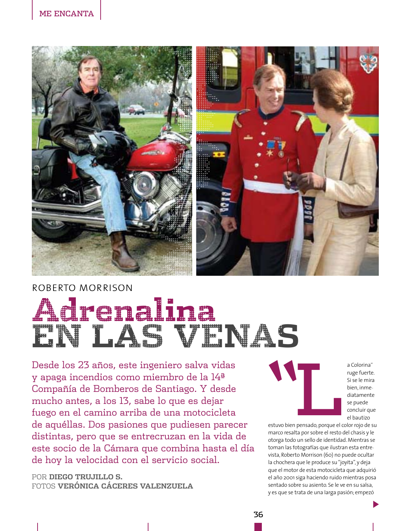

## ROBERTO MORRISON



Desde los 23 años, este ingeniero salva vidas y apaga incendios como miembro de la 14<sup>a</sup> Compañía de Bomberos de Santiago. Y desde mucho antes, a los 13, sabe lo que es dejar fuego en el camino arriba de una motocicleta de aquéllas. Dos pasiones que pudiesen parecer distintas, pero que se entrecruzan en la vida de este socio de la Cámara que combina hasta el día de hoy la velocidad con el servicio social.

POR DIEGO TRUJILLO S. FOTOS VERÓNICA CÁCERES VALENZUELA



a Colorina" ruge fuerte. Si se le mira bien, inmediatamente se puede concluir que el bautizo

estuvo bien pensado, porque el color rojo de su marco resalta por sobre el resto del chasis y le otorga todo un sello de identidad. Mientras se toman las fotografías que ilustran esta entrevista, Roberto Morrison (60) no puede ocultar la chochera que le produce su "joyita", y deja que el motor de esta motocicleta que adquirió el año 2001 siga haciendo ruido mientras posa sentado sobre su asiento. Se le ve en su salsa, y es que se trata de una larga pasión; empezó